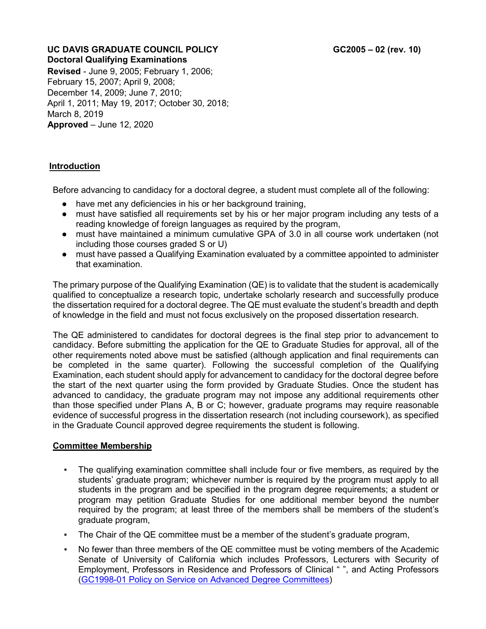# UC DAVIS GRADUATE COUNCIL POLICY **GC2005** – 02 (rev. 10) **Doctoral Qualifying Examinations**

**Revised** - June 9, 2005; February 1, 2006; February 15, 2007; April 9, 2008; December 14, 2009; June 7, 2010; April 1, 2011; May 19, 2017; October 30, 2018; March 8, 2019 **Approved** – June 12, 2020

## **Introduction**

Before advancing to candidacy for a doctoral degree, a student must complete all of the following:

- have met any deficiencies in his or her background training,
- must have satisfied all requirements set by his or her major program including any tests of a reading knowledge of foreign languages as required by the program.
- must have maintained a minimum cumulative GPA of 3.0 in all course work undertaken (not including those courses graded S or U)
- must have passed a Qualifying Examination evaluated by a committee appointed to administer that examination.

The primary purpose of the Qualifying Examination (QE) is to validate that the student is academically qualified to conceptualize a research topic, undertake scholarly research and successfully produce the dissertation required for a doctoral degree. The QE must evaluate the student's breadth and depth of knowledge in the field and must not focus exclusively on the proposed dissertation research.

The QE administered to candidates for doctoral degrees is the final step prior to advancement to candidacy. Before submitting the application for the QE to Graduate Studies for approval, all of the other requirements noted above must be satisfied (although application and final requirements can be completed in the same quarter). Following the successful completion of the Qualifying Examination, each student should apply for advancement to candidacy for the doctoral degree before the start of the next quarter using the form provided by Graduate Studies. Once the student has advanced to candidacy, the graduate program may not impose any additional requirements other than those specified under Plans A, B or C; however, graduate programs may require reasonable evidence of successful progress in the dissertation research (not including coursework), as specified in the Graduate Council approved degree requirements the student is following.

## **Committee Membership**

- The qualifying examination committee shall include four or five members, as required by the students' graduate program; whichever number is required by the program must apply to all students in the program and be specified in the program degree requirements; a student or program may petition Graduate Studies for one additional member beyond the number required by the program; at least three of the members shall be members of the student's graduate program,
- The Chair of the QE committee must be a member of the student's graduate program,
- No fewer than three members of the QE committee must be voting members of the Academic Senate of University of California which includes Professors, Lecturers with Security of Employment, Professors in Residence and Professors of Clinical " ", and Acting Professors (GC1998-01 [Policy on Service on Advanced Degree Committees\)](https://academicsenate.ucdavis.edu/committees/graduate-council/policies)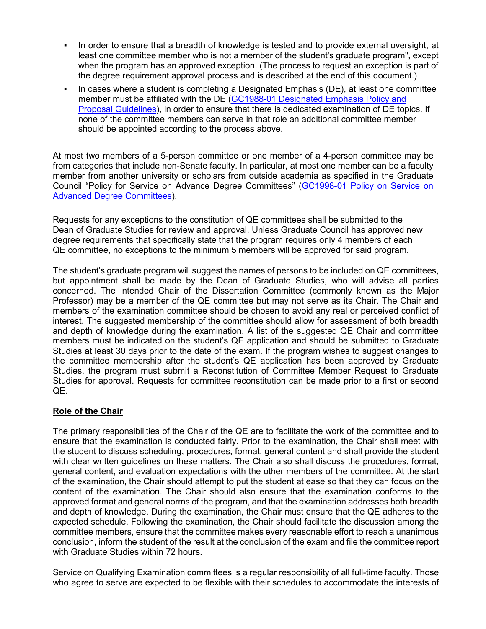- In order to ensure that a breadth of knowledge is tested and to provide external oversight, at least one committee member who is not a member of the student's graduate program", except when the program has an approved exception. (The process to request an exception is part of the degree requirement approval process and is described at the end of this document.)
- In cases where a student is completing a Designated Emphasis (DE), at least one committee member must be affiliated with the DE (GC1988-01 [Designated Emphasis Policy and](https://academicsenate.ucdavis.edu/committees/graduate-council/policies)  [Proposal Guidelines\)](https://academicsenate.ucdavis.edu/committees/graduate-council/policies), in order to ensure that there is dedicated examination of DE topics. If none of the committee members can serve in that role an additional committee member should be appointed according to the process above.

At most two members of a 5-person committee or one member of a 4-person committee may be from categories that include non-Senate faculty. In particular, at most one member can be a faculty member from another university or scholars from outside academia as specified in the Graduate Council "Policy for Service on Advance Degree Committees" [\(GC1998-01 Policy on Service on](https://academicsenate.ucdavis.edu/committees/graduate-council/policies)  [Advanced Degree Committees\)](https://academicsenate.ucdavis.edu/committees/graduate-council/policies).

Requests for any exceptions to the constitution of QE committees shall be submitted to the Dean of Graduate Studies for review and approval. Unless Graduate Council has approved new degree requirements that specifically state that the program requires only 4 members of each QE committee, no exceptions to the minimum 5 members will be approved for said program.

The student's graduate program will suggest the names of persons to be included on QE committees, but appointment shall be made by the Dean of Graduate Studies, who will advise all parties concerned. The intended Chair of the Dissertation Committee (commonly known as the Major Professor) may be a member of the QE committee but may not serve as its Chair. The Chair and members of the examination committee should be chosen to avoid any real or perceived conflict of interest. The suggested membership of the committee should allow for assessment of both breadth and depth of knowledge during the examination. A list of the suggested QE Chair and committee members must be indicated on the student's QE application and should be submitted to Graduate Studies at least 30 days prior to the date of the exam. If the program wishes to suggest changes to the committee membership after the student's QE application has been approved by Graduate Studies, the program must submit a Reconstitution of Committee Member Request to Graduate Studies for approval. Requests for committee reconstitution can be made prior to a first or second QE.

## **Role of the Chair**

The primary responsibilities of the Chair of the QE are to facilitate the work of the committee and to ensure that the examination is conducted fairly. Prior to the examination, the Chair shall meet with the student to discuss scheduling, procedures, format, general content and shall provide the student with clear written guidelines on these matters. The Chair also shall discuss the procedures, format, general content, and evaluation expectations with the other members of the committee. At the start of the examination, the Chair should attempt to put the student at ease so that they can focus on the content of the examination. The Chair should also ensure that the examination conforms to the approved format and general norms of the program, and that the examination addresses both breadth and depth of knowledge. During the examination, the Chair must ensure that the QE adheres to the expected schedule. Following the examination, the Chair should facilitate the discussion among the committee members, ensure that the committee makes every reasonable effort to reach a unanimous conclusion, inform the student of the result at the conclusion of the exam and file the committee report with Graduate Studies within 72 hours.

Service on Qualifying Examination committees is a regular responsibility of all full-time faculty. Those who agree to serve are expected to be flexible with their schedules to accommodate the interests of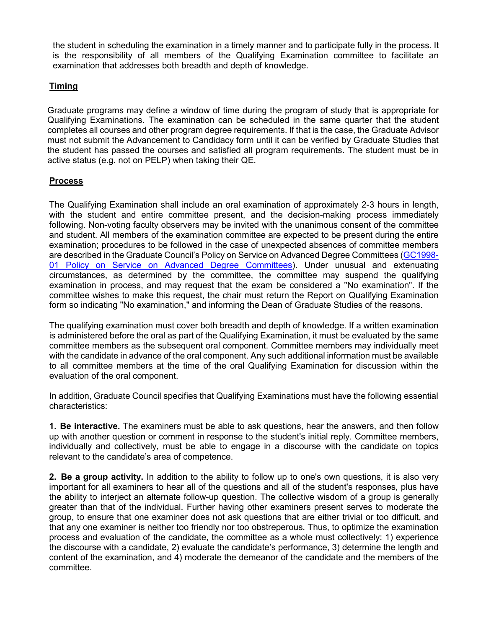the student in scheduling the examination in a timely manner and to participate fully in the process. It is the responsibility of all members of the Qualifying Examination committee to facilitate an examination that addresses both breadth and depth of knowledge.

## **Timing**

Graduate programs may define a window of time during the program of study that is appropriate for Qualifying Examinations. The examination can be scheduled in the same quarter that the student completes all courses and other program degree requirements. If that is the case, the Graduate Advisor must not submit the Advancement to Candidacy form until it can be verified by Graduate Studies that the student has passed the courses and satisfied all program requirements. The student must be in active status (e.g. not on PELP) when taking their QE.

## **Process**

The Qualifying Examination shall include an oral examination of approximately 2-3 hours in length, with the student and entire committee present, and the decision-making process immediately following. Non-voting faculty observers may be invited with the unanimous consent of the committee and student. All members of the examination committee are expected to be present during the entire examination; procedures to be followed in the case of unexpected absences of committee members are described in the Graduate Council's Policy on Service on Advanced Degree Committees [\(GC1998-](https://academicsenate.ucdavis.edu/committees/graduate-council/policies) [01 Policy on Service on Advanced Degree Committees\)](https://academicsenate.ucdavis.edu/committees/graduate-council/policies). Under unusual and extenuating circumstances, as determined by the committee, the committee may suspend the qualifying examination in process, and may request that the exam be considered a "No examination". If the committee wishes to make this request, the chair must return the Report on Qualifying Examination form so indicating "No examination," and informing the Dean of Graduate Studies of the reasons.

The qualifying examination must cover both breadth and depth of knowledge. If a written examination is administered before the oral as part of the Qualifying Examination, it must be evaluated by the same committee members as the subsequent oral component. Committee members may individually meet with the candidate in advance of the oral component. Any such additional information must be available to all committee members at the time of the oral Qualifying Examination for discussion within the evaluation of the oral component.

In addition, Graduate Council specifies that Qualifying Examinations must have the following essential characteristics:

**1. Be interactive.** The examiners must be able to ask questions, hear the answers, and then follow up with another question or comment in response to the student's initial reply. Committee members, individually and collectively, must be able to engage in a discourse with the candidate on topics relevant to the candidate's area of competence.

**2. Be a group activity.** In addition to the ability to follow up to one's own questions, it is also very important for all examiners to hear all of the questions and all of the student's responses, plus have the ability to interject an alternate follow-up question. The collective wisdom of a group is generally greater than that of the individual. Further having other examiners present serves to moderate the group, to ensure that one examiner does not ask questions that are either trivial or too difficult, and that any one examiner is neither too friendly nor too obstreperous. Thus, to optimize the examination process and evaluation of the candidate, the committee as a whole must collectively: 1) experience the discourse with a candidate, 2) evaluate the candidate's performance, 3) determine the length and content of the examination, and 4) moderate the demeanor of the candidate and the members of the committee.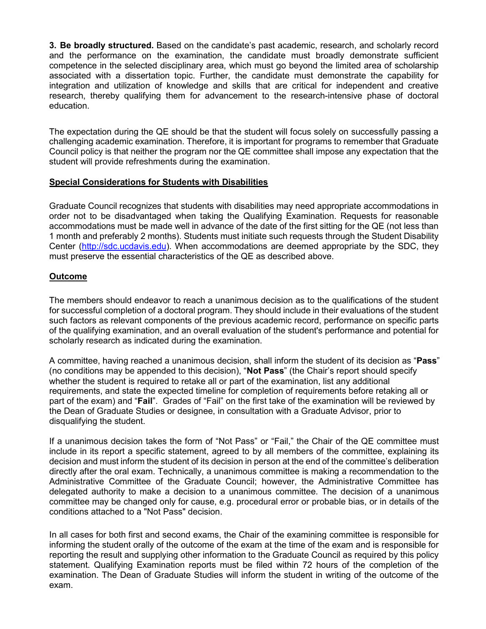**3. Be broadly structured.** Based on the candidate's past academic, research, and scholarly record and the performance on the examination, the candidate must broadly demonstrate sufficient competence in the selected disciplinary area, which must go beyond the limited area of scholarship associated with a dissertation topic. Further, the candidate must demonstrate the capability for integration and utilization of knowledge and skills that are critical for independent and creative research, thereby qualifying them for advancement to the research-intensive phase of doctoral education.

The expectation during the QE should be that the student will focus solely on successfully passing a challenging academic examination. Therefore, it is important for programs to remember that Graduate Council policy is that neither the program nor the QE committee shall impose any expectation that the student will provide refreshments during the examination.

## **Special Considerations for Students with Disabilities**

Graduate Council recognizes that students with disabilities may need appropriate accommodations in order not to be disadvantaged when taking the Qualifying Examination. Requests for reasonable accommodations must be made well in advance of the date of the first sitting for the QE (not less than 1 month and preferably 2 months). Students must initiate such requests through the Student Disability Center [\(http://sdc.ucdavis.edu\)](http://sdc.ucdavis.edu/). When accommodations are deemed appropriate by the SDC, they must preserve the essential characteristics of the QE as described above.

#### **Outcome**

The members should endeavor to reach a unanimous decision as to the qualifications of the student for successful completion of a doctoral program. They should include in their evaluations of the student such factors as relevant components of the previous academic record, performance on specific parts of the qualifying examination, and an overall evaluation of the student's performance and potential for scholarly research as indicated during the examination.

A committee, having reached a unanimous decision, shall inform the student of its decision as "**Pass**" (no conditions may be appended to this decision), "**Not Pass**" (the Chair's report should specify whether the student is required to retake all or part of the examination, list any additional requirements, and state the expected timeline for completion of requirements before retaking all or part of the exam) and "**Fail**". Grades of "Fail" on the first take of the examination will be reviewed by the Dean of Graduate Studies or designee, in consultation with a Graduate Advisor, prior to disqualifying the student.

If a unanimous decision takes the form of "Not Pass" or "Fail," the Chair of the QE committee must include in its report a specific statement, agreed to by all members of the committee, explaining its decision and must inform the student of its decision in person at the end of the committee's deliberation directly after the oral exam. Technically, a unanimous committee is making a recommendation to the Administrative Committee of the Graduate Council; however, the Administrative Committee has delegated authority to make a decision to a unanimous committee. The decision of a unanimous committee may be changed only for cause, e.g. procedural error or probable bias, or in details of the conditions attached to a "Not Pass" decision.

In all cases for both first and second exams, the Chair of the examining committee is responsible for informing the student orally of the outcome of the exam at the time of the exam and is responsible for reporting the result and supplying other information to the Graduate Council as required by this policy statement. Qualifying Examination reports must be filed within 72 hours of the completion of the examination. The Dean of Graduate Studies will inform the student in writing of the outcome of the exam.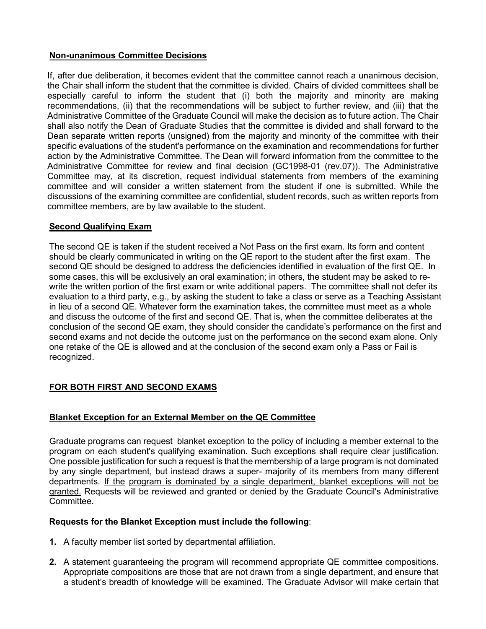## **Non-unanimous Committee Decisions**

If, after due deliberation, it becomes evident that the committee cannot reach a unanimous decision, the Chair shall inform the student that the committee is divided. Chairs of divided committees shall be especially careful to inform the student that (i) both the majority and minority are making recommendations, (ii) that the recommendations will be subject to further review, and (iii) that the Administrative Committee of the Graduate Council will make the decision as to future action. The Chair shall also notify the Dean of Graduate Studies that the committee is divided and shall forward to the Dean separate written reports (unsigned) from the majority and minority of the committee with their specific evaluations of the student's performance on the examination and recommendations for further action by the Administrative Committee. The Dean will forward information from the committee to the Administrative Committee for review and final decision (GC1998-01 (rev.07)). The Administrative Committee may, at its discretion, request individual statements from members of the examining committee and will consider a written statement from the student if one is submitted. While the discussions of the examining committee are confidential, student records, such as written reports from committee members, are by law available to the student.

## **Second Qualifying Exam**

The second QE is taken if the student received a Not Pass on the first exam. Its form and content should be clearly communicated in writing on the QE report to the student after the first exam. The second QE should be designed to address the deficiencies identified in evaluation of the first QE. In some cases, this will be exclusively an oral examination; in others, the student may be asked to rewrite the written portion of the first exam or write additional papers. The committee shall not defer its evaluation to a third party, e.g., by asking the student to take a class or serve as a Teaching Assistant in lieu of a second QE. Whatever form the examination takes, the committee must meet as a whole and discuss the outcome of the first and second QE. That is, when the committee deliberates at the conclusion of the second QE exam, they should consider the candidate's performance on the first and second exams and not decide the outcome just on the performance on the second exam alone. Only one retake of the QE is allowed and at the conclusion of the second exam only a Pass or Fail is recognized.

## **FOR BOTH FIRST AND SECOND EXAMS**

## **Blanket Exception for an External Member on the QE Committee**

Graduate programs can request blanket exception to the policy of including a member external to the program on each student's qualifying examination. Such exceptions shall require clear justification. One possible justification for such a request is that the membership of a large program is not dominated by any single department, but instead draws a super- majority of its members from many different departments. If the program is dominated by a single department, blanket exceptions will not be granted. Requests will be reviewed and granted or denied by the Graduate Council's Administrative Committee.

## **Requests for the Blanket Exception must include the following**:

- **1.** A faculty member list sorted by departmental affiliation.
- **2.** A statement guaranteeing the program will recommend appropriate QE committee compositions. Appropriate compositions are those that are not drawn from a single department, and ensure that a student's breadth of knowledge will be examined. The Graduate Advisor will make certain that